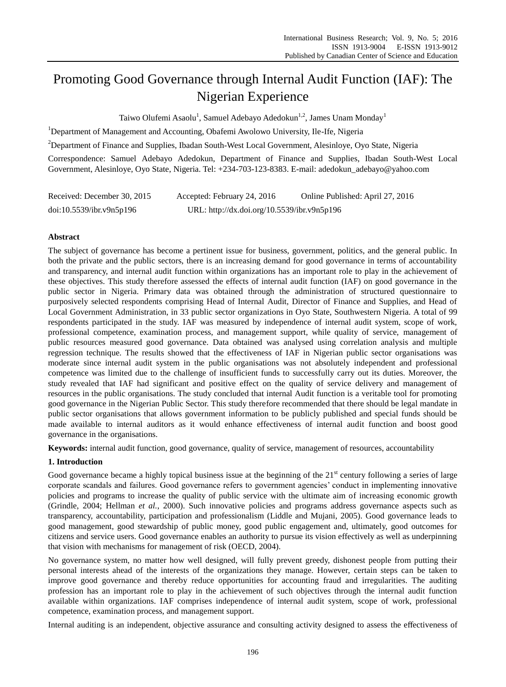# Promoting Good Governance through Internal Audit Function (IAF): The Nigerian Experience

Taiwo Olufemi Asaolu<sup>1</sup>, Samuel Adebayo Adedokun<sup>1,2</sup>, James Unam Monday<sup>1</sup>

<sup>1</sup>Department of Management and Accounting, Obafemi Awolowo University, Ile-Ife, Nigeria

<sup>2</sup>Department of Finance and Supplies, Ibadan South-West Local Government, Alesinloye, Oyo State, Nigeria

Correspondence: Samuel Adebayo Adedokun, Department of Finance and Supplies, Ibadan South-West Local Government, Alesinloye, Oyo State, Nigeria. Tel: +234-703-123-8383. E-mail: adedokun\_adebayo@yahoo.com

| Received: December 30, 2015 | Accepted: February 24, 2016                 | Online Published: April 27, 2016 |
|-----------------------------|---------------------------------------------|----------------------------------|
| doi:10.5539/ibr.v9n5p196    | URL: http://dx.doi.org/10.5539/ibr.v9n5p196 |                                  |

# **Abstract**

The subject of governance has become a pertinent issue for business, government, politics, and the general public. In both the private and the public sectors, there is an increasing demand for good governance in terms of accountability and transparency, and internal audit function within organizations has an important role to play in the achievement of these objectives. This study therefore assessed the effects of internal audit function (IAF) on good governance in the public sector in Nigeria. Primary data was obtained through the administration of structured questionnaire to purposively selected respondents comprising Head of Internal Audit, Director of Finance and Supplies, and Head of Local Government Administration, in 33 public sector organizations in Oyo State, Southwestern Nigeria. A total of 99 respondents participated in the study. IAF was measured by independence of internal audit system, scope of work, professional competence, examination process, and management support, while quality of service, management of public resources measured good governance. Data obtained was analysed using correlation analysis and multiple regression technique. The results showed that the effectiveness of IAF in Nigerian public sector organisations was moderate since internal audit system in the public organisations was not absolutely independent and professional competence was limited due to the challenge of insufficient funds to successfully carry out its duties. Moreover, the study revealed that IAF had significant and positive effect on the quality of service delivery and management of resources in the public organisations. The study concluded that internal Audit function is a veritable tool for promoting good governance in the Nigerian Public Sector. This study therefore recommended that there should be legal mandate in public sector organisations that allows government information to be publicly published and special funds should be made available to internal auditors as it would enhance effectiveness of internal audit function and boost good governance in the organisations.

**Keywords:** internal audit function, good governance, quality of service, management of resources, accountability

# **1. Introduction**

Good governance became a highly topical business issue at the beginning of the  $21<sup>st</sup>$  century following a series of large corporate scandals and failures. Good governance refers to government agencies' conduct in implementing innovative policies and programs to increase the quality of public service with the ultimate aim of increasing economic growth (Grindle, 2004; Hellman *et al.*, 2000). Such innovative policies and programs address governance aspects such as transparency, accountability, participation and professionalism (Liddle and Mujani, 2005). Good governance leads to good management, good stewardship of public money, good public engagement and, ultimately, good outcomes for citizens and service users. Good governance enables an authority to pursue its vision effectively as well as underpinning that vision with mechanisms for management of risk (OECD, 2004).

No governance system, no matter how well designed, will fully prevent greedy, dishonest people from putting their personal interests ahead of the interests of the organizations they manage. However, certain steps can be taken to improve good governance and thereby reduce opportunities for accounting fraud and irregularities. The auditing profession has an important role to play in the achievement of such objectives through the internal audit function available within organizations. IAF comprises independence of internal audit system, scope of work, professional competence, examination process, and management support.

Internal auditing is an independent, objective assurance and consulting activity designed to assess the effectiveness of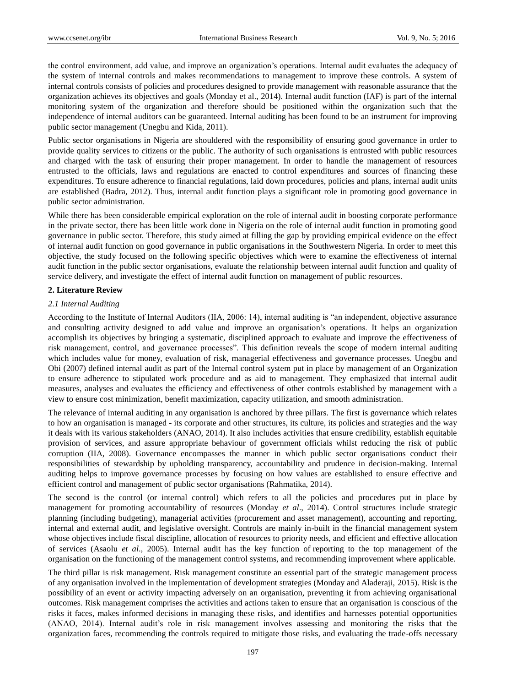the control environment, add value, and improve an organization's operations. Internal audit evaluates the adequacy of the system of internal controls and makes recommendations to management to improve these controls. A system of internal controls consists of policies and procedures designed to provide management with reasonable assurance that the organization achieves its objectives and goals (Monday et al., 2014). Internal audit function (IAF) is part of the internal monitoring system of the organization and therefore should be positioned within the organization such that the independence of internal auditors can be guaranteed. Internal auditing has been found to be an instrument for improving public sector management (Unegbu and Kida, 2011).

Public sector organisations in Nigeria are shouldered with the responsibility of ensuring good governance in order to provide quality services to citizens or the public. The authority of such organisations is entrusted with public resources and charged with the task of ensuring their proper management. In order to handle the management of resources entrusted to the officials, laws and regulations are enacted to control expenditures and sources of financing these expenditures. To ensure adherence to financial regulations, laid down procedures, policies and plans, internal audit units are established (Badra, 2012). Thus, internal audit function plays a significant role in promoting good governance in public sector administration.

While there has been considerable empirical exploration on the role of internal audit in boosting corporate performance in the private sector, there has been little work done in Nigeria on the role of internal audit function in promoting good governance in public sector. Therefore, this study aimed at filling the gap by providing empirical evidence on the effect of internal audit function on good governance in public organisations in the Southwestern Nigeria. In order to meet this objective, the study focused on the following specific objectives which were to examine the effectiveness of internal audit function in the public sector organisations, evaluate the relationship between internal audit function and quality of service delivery, and investigate the effect of internal audit function on management of public resources.

## **2. Literature Review**

#### *2.1 Internal Auditing*

According to the Institute of Internal Auditors (IIA, 2006: 14), internal auditing is "an independent, objective assurance and consulting activity designed to add value and improve an organisation's operations. It helps an organization accomplish its objectives by bringing a systematic, disciplined approach to evaluate and improve the effectiveness of risk management, control, and governance processes". This definition reveals the scope of modern internal auditing which includes value for money, evaluation of risk, managerial effectiveness and governance processes. Unegbu and Obi (2007) defined internal audit as part of the Internal control system put in place by management of an Organization to ensure adherence to stipulated work procedure and as aid to management. They emphasized that internal audit measures, analyses and evaluates the efficiency and effectiveness of other controls established by management with a view to ensure cost minimization, benefit maximization, capacity utilization, and smooth administration.

The relevance of internal auditing in any organisation is anchored by three pillars. The first is governance which relates to how an organisation is managed - its corporate and other structures, its culture, its policies and strategies and the way it deals with its various stakeholders (ANAO, 2014). It also includes activities that ensure credibility, establish equitable provision of services, and assure appropriate behaviour of government officials whilst reducing the risk of public corruption (IIA, 2008). Governance encompasses the manner in which public sector organisations conduct their responsibilities of stewardship by upholding transparency, accountability and prudence in decision-making. Internal auditing helps to improve governance processes by focusing on how values are established to ensure effective and efficient control and management of public sector organisations (Rahmatika, 2014).

The second is the control (or internal control) which refers to all the policies and procedures put in place by management for promoting accountability of resources (Monday *et al*., 2014). Control structures include strategic planning (including budgeting), managerial activities (procurement and asset management), accounting and reporting, internal and external audit, and legislative oversight. Controls are mainly in-built in the financial management system whose objectives include fiscal discipline, allocation of resources to priority needs, and efficient and effective allocation of services (Asaolu *et al*., 2005). Internal audit has the key function of reporting to the top management of the organisation on the functioning of the management control systems, and recommending improvement where applicable.

The third pillar is risk management. Risk management constitute an essential part of the strategic management process of any organisation involved in the implementation of development strategies (Monday and Aladeraji, 2015). Risk is the possibility of an event or activity impacting adversely on an organisation, preventing it from achieving organisational outcomes. Risk management comprises the activities and actions taken to ensure that an organisation is conscious of the risks it faces, makes informed decisions in managing these risks, and identifies and harnesses potential opportunities (ANAO, 2014). Internal audit's role in risk management involves assessing and monitoring the risks that the organization faces, recommending the controls required to mitigate those risks, and evaluating the trade-offs necessary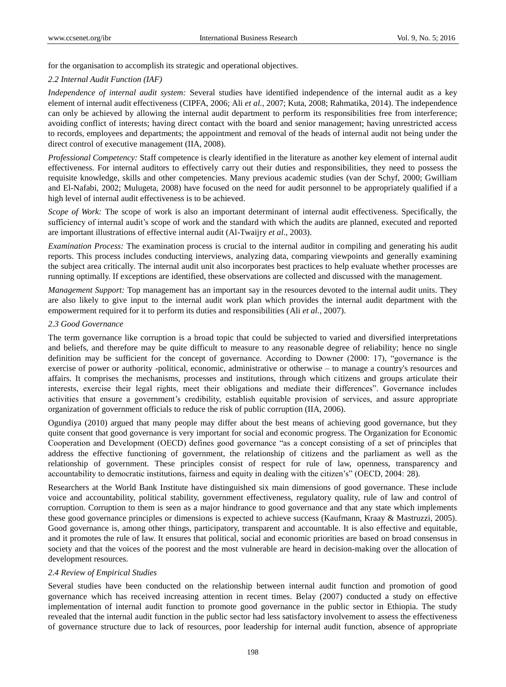for the organisation to accomplish its strategic and operational objectives.

## *2.2 Internal Audit Function (IAF)*

*Independence of internal audit system:* Several studies have identified independence of the internal audit as a key element of internal audit effectiveness (CIPFA, 2006; Ali *et al.*, 2007; Kuta, 2008; Rahmatika, 2014). The independence can only be achieved by allowing the internal audit department to perform its responsibilities free from interference; avoiding conflict of interests; having direct contact with the board and senior management; having unrestricted access to records, employees and departments; the appointment and removal of the heads of internal audit not being under the direct control of executive management (IIA, 2008).

*Professional Competency:* Staff competence is clearly identified in the literature as another key element of internal audit effectiveness. For internal auditors to effectively carry out their duties and responsibilities, they need to possess the requisite knowledge, skills and other competencies. Many previous academic studies (van der Schyf, 2000; Gwilliam and El-Nafabi, 2002; Mulugeta, 2008) have focused on the need for audit personnel to be appropriately qualified if a high level of internal audit effectiveness is to be achieved.

*Scope of Work:* The scope of work is also an important determinant of internal audit effectiveness. Specifically, the sufficiency of internal audit's scope of work and the standard with which the audits are planned, executed and reported are important illustrations of effective internal audit (Al-Twaijry *et al*., 2003).

*Examination Process:* The examination process is crucial to the internal auditor in compiling and generating his audit reports. This process includes conducting interviews, analyzing data, comparing viewpoints and generally examining the subject area critically. The internal audit unit also incorporates best practices to help evaluate whether processes are running optimally. If exceptions are identified, these observations are collected and discussed with the management.

*Management Support:* Top management has an important say in the resources devoted to the internal audit units. They are also likely to give input to the internal audit work plan which provides the internal audit department with the empowerment required for it to perform its duties and responsibilities (Ali *et al.*, 2007).

## *2.3 Good Governance*

The term governance like corruption is a broad topic that could be subjected to varied and diversified interpretations and beliefs, and therefore may be quite difficult to measure to any reasonable degree of reliability; hence no single definition may be sufficient for the concept of governance. According to Downer (2000: 17), "governance is the exercise of power or authority -political, economic, administrative or otherwise – to manage a country's resources and affairs. It comprises the mechanisms, processes and institutions, through which citizens and groups articulate their interests, exercise their legal rights, meet their obligations and mediate their differences". Governance includes activities that ensure a government's credibility, establish equitable provision of services, and assure appropriate organization of government officials to reduce the risk of public corruption (IIA, 2006).

Ogundiya (2010) argued that many people may differ about the best means of achieving good governance, but they quite consent that good governance is very important for social and economic progress. The Organization for Economic Cooperation and Development (OECD) defines good governance "as a concept consisting of a set of principles that address the effective functioning of government, the relationship of citizens and the parliament as well as the relationship of government. These principles consist of respect for rule of law, openness, transparency and accountability to democratic institutions, fairness and equity in dealing with the citizen's" (OECD, 2004: 28).

Researchers at the World Bank Institute have distinguished six main dimensions of good governance. These include voice and accountability, political stability, government effectiveness, regulatory quality, rule of law and control of corruption. Corruption to them is seen as a major hindrance to good governance and that any state which implements these good governance principles or dimensions is expected to achieve success (Kaufmann, Kraay & Mastruzzi, 2005). Good governance is, among other things, participatory, transparent and accountable. It is also effective and equitable, and it promotes the rule of law. It ensures that political, social and economic priorities are based on broad consensus in society and that the voices of the poorest and the most vulnerable are heard in decision-making over the allocation of development resources.

# *2.4 Review of Empirical Studies*

Several studies have been conducted on the relationship between internal audit function and promotion of good governance which has received increasing attention in recent times. Belay (2007) conducted a study on effective implementation of internal audit function to promote good governance in the public sector in Ethiopia. The study revealed that the internal audit function in the public sector had less satisfactory involvement to assess the effectiveness of governance structure due to lack of resources, poor leadership for internal audit function, absence of appropriate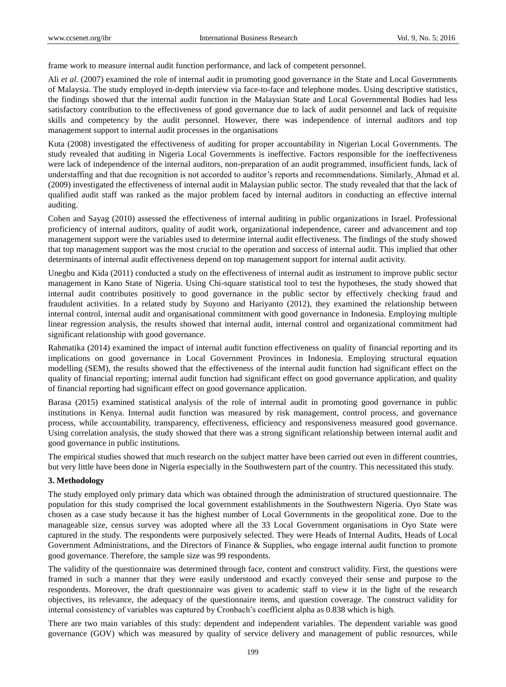frame work to measure internal audit function performance, and lack of competent personnel.

Ali *et al.* (2007) examined the role of internal audit in promoting good governance in the State and Local Governments of Malaysia. The study employed in-depth interview via face-to-face and telephone modes. Using descriptive statistics, the findings showed that the internal audit function in the Malaysian State and Local Governmental Bodies had less satisfactory contribution to the effectiveness of good governance due to lack of audit personnel and lack of requisite skills and competency by the audit personnel. However, there was independence of internal auditors and top management support to internal audit processes in the organisations

Kuta (2008) investigated the effectiveness of auditing for proper accountability in Nigerian Local Governments. The study revealed that auditing in Nigeria Local Governments is ineffective. Factors responsible for the ineffectiveness were lack of independence of the internal auditors, non-preparation of an audit programmed, insufficient funds, lack of understaffing and that due recognition is not accorded to auditor's reports and recommendations. Similarly, Ahmad et al. (2009) investigated the effectiveness of internal audit in Malaysian public sector. The study revealed that that the lack of qualified audit staff was ranked as the major problem faced by internal auditors in conducting an effective internal auditing.

Cohen and Sayag (2010) assessed the effectiveness of internal auditing in public organizations in Israel. Professional proficiency of internal auditors, quality of audit work, organizational independence, career and advancement and top management support were the variables used to determine internal audit effectiveness. The findings of the study showed that top management support was the most crucial to the operation and success of internal audit. This implied that other determinants of internal audit effectiveness depend on top management support for internal audit activity.

Unegbu and Kida (2011) conducted a study on the effectiveness of internal audit as instrument to improve public sector management in Kano State of Nigeria. Using Chi-square statistical tool to test the hypotheses, the study showed that internal audit contributes positively to good governance in the public sector by effectively checking fraud and fraudulent activities. In a related study by Suyono and Hariyanto (2012), they examined the relationship between internal control, internal audit and organisational commitment with good governance in Indonesia. Employing multiple linear regression analysis, the results showed that internal audit, internal control and organizational commitment had significant relationship with good governance.

Rahmatika (2014) examined the impact of internal audit function effectiveness on quality of financial reporting and its implications on good governance in Local Government Provinces in Indonesia. Employing structural equation modelling (SEM), the results showed that the effectiveness of the internal audit function had significant effect on the quality of financial reporting; internal audit function had significant effect on good governance application, and quality of financial reporting had significant effect on good governance application.

Barasa (2015) examined statistical analysis of the role of internal audit in promoting good governance in public institutions in Kenya. Internal audit function was measured by risk management, control process, and governance process, while accountability, transparency, effectiveness, efficiency and responsiveness measured good governance. Using correlation analysis, the study showed that there was a strong significant relationship between internal audit and good governance in public institutions.

The empirical studies showed that much research on the subject matter have been carried out even in different countries, but very little have been done in Nigeria especially in the Southwestern part of the country. This necessitated this study.

## **3. Methodology**

The study employed only primary data which was obtained through the administration of structured questionnaire. The population for this study comprised the local government establishments in the Southwestern Nigeria. Oyo State was chosen as a case study because it has the highest number of Local Governments in the geopolitical zone. Due to the manageable size, census survey was adopted where all the 33 Local Government organisations in Oyo State were captured in the study. The respondents were purposively selected. They were Heads of Internal Audits, Heads of Local Government Administrations, and the Directors of Finance & Supplies, who engage internal audit function to promote good governance. Therefore, the sample size was 99 respondents.

The validity of the questionnaire was determined through face, content and construct validity. First, the questions were framed in such a manner that they were easily understood and exactly conveyed their sense and purpose to the respondents. Moreover, the draft questionnaire was given to academic staff to view it in the light of the research objectives, its relevance, the adequacy of the questionnaire items, and question coverage. The construct validity for internal consistency of variables was captured by Cronbach's coefficient alpha as 0.838 which is high.

There are two main variables of this study: dependent and independent variables. The dependent variable was good governance (GOV) which was measured by quality of service delivery and management of public resources, while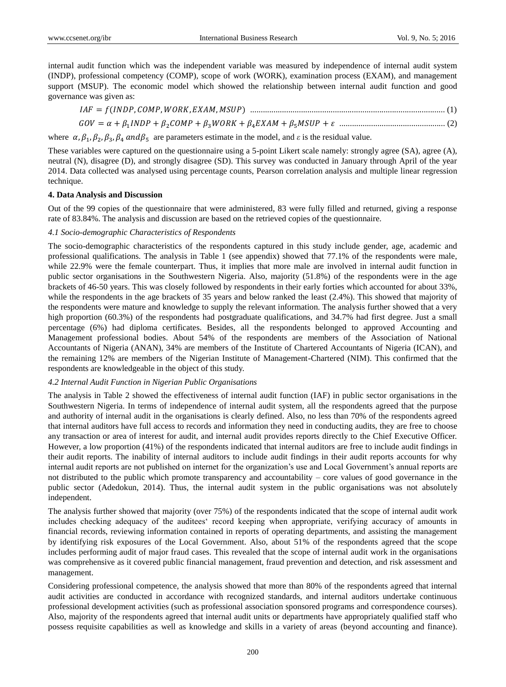internal audit function which was the independent variable was measured by independence of internal audit system (INDP), professional competency (COMP), scope of work (WORK), examination process (EXAM), and management support (MSUP). The economic model which showed the relationship between internal audit function and good governance was given as:

 = (, , , , ) ............................................................................................ (1) = + <sup>1</sup> + 2 + 3 + 4 + 5 + .................................................. (2)

where  $\alpha$ ,  $\beta_1$ ,  $\beta_2$ ,  $\beta_3$ ,  $\beta_4$  and  $\beta_5$  are parameters estimate in the model, and  $\varepsilon$  is the residual value.

These variables were captured on the questionnaire using a 5-point Likert scale namely: strongly agree (SA), agree (A), neutral (N), disagree (D), and strongly disagree (SD). This survey was conducted in January through April of the year 2014. Data collected was analysed using percentage counts, Pearson correlation analysis and multiple linear regression technique.

## **4. Data Analysis and Discussion**

Out of the 99 copies of the questionnaire that were administered, 83 were fully filled and returned, giving a response rate of 83.84%. The analysis and discussion are based on the retrieved copies of the questionnaire.

## *4.1 Socio-demographic Characteristics of Respondents*

The socio-demographic characteristics of the respondents captured in this study include gender, age, academic and professional qualifications. The analysis in Table 1 (see appendix) showed that 77.1% of the respondents were male, while 22.9% were the female counterpart. Thus, it implies that more male are involved in internal audit function in public sector organisations in the Southwestern Nigeria. Also, majority (51.8%) of the respondents were in the age brackets of 46-50 years. This was closely followed by respondents in their early forties which accounted for about 33%, while the respondents in the age brackets of 35 years and below ranked the least (2.4%). This showed that majority of the respondents were mature and knowledge to supply the relevant information. The analysis further showed that a very high proportion (60.3%) of the respondents had postgraduate qualifications, and 34.7% had first degree. Just a small percentage (6%) had diploma certificates. Besides, all the respondents belonged to approved Accounting and Management professional bodies. About 54% of the respondents are members of the Association of National Accountants of Nigeria (ANAN), 34% are members of the Institute of Chartered Accountants of Nigeria (ICAN), and the remaining 12% are members of the Nigerian Institute of Management-Chartered (NIM). This confirmed that the respondents are knowledgeable in the object of this study.

#### *4.2 Internal Audit Function in Nigerian Public Organisations*

The analysis in Table 2 showed the effectiveness of internal audit function (IAF) in public sector organisations in the Southwestern Nigeria. In terms of independence of internal audit system, all the respondents agreed that the purpose and authority of internal audit in the organisations is clearly defined. Also, no less than 70% of the respondents agreed that internal auditors have full access to records and information they need in conducting audits, they are free to choose any transaction or area of interest for audit, and internal audit provides reports directly to the Chief Executive Officer. However, a low proportion (41%) of the respondents indicated that internal auditors are free to include audit findings in their audit reports. The inability of internal auditors to include audit findings in their audit reports accounts for why internal audit reports are not published on internet for the organization's use and Local Government's annual reports are not distributed to the public which promote transparency and accountability – core values of good governance in the public sector (Adedokun, 2014). Thus, the internal audit system in the public organisations was not absolutely independent.

The analysis further showed that majority (over 75%) of the respondents indicated that the scope of internal audit work includes checking adequacy of the auditees' record keeping when appropriate, verifying accuracy of amounts in financial records, reviewing information contained in reports of operating departments, and assisting the management by identifying risk exposures of the Local Government. Also, about 51% of the respondents agreed that the scope includes performing audit of major fraud cases. This revealed that the scope of internal audit work in the organisations was comprehensive as it covered public financial management, fraud prevention and detection, and risk assessment and management.

Considering professional competence, the analysis showed that more than 80% of the respondents agreed that internal audit activities are conducted in accordance with recognized standards, and internal auditors undertake continuous professional development activities (such as professional association sponsored programs and correspondence courses). Also, majority of the respondents agreed that internal audit units or departments have appropriately qualified staff who possess requisite capabilities as well as knowledge and skills in a variety of areas (beyond accounting and finance).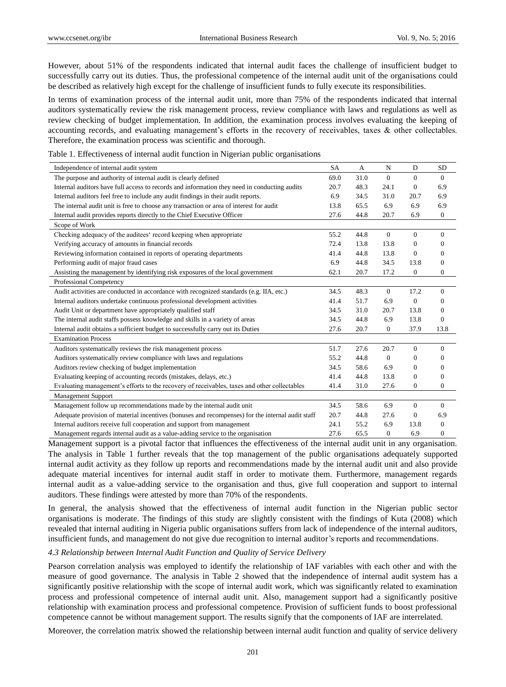However, about 51% of the respondents indicated that internal audit faces the challenge of insufficient budget to successfully carry out its duties. Thus, the professional competence of the internal audit unit of the organisations could be described as relatively high except for the challenge of insufficient funds to fully execute its responsibilities.

In terms of examination process of the internal audit unit, more than 75% of the respondents indicated that internal auditors systematically review the risk management process, review compliance with laws and regulations as well as review checking of budget implementation. In addition, the examination process involves evaluating the keeping of accounting records, and evaluating management's efforts in the recovery of receivables, taxes & other collectables. Therefore, the examination process was scientific and thorough.

| Table 1. Effectiveness of internal audit function in Nigerian public organisations |  |  |  |  |
|------------------------------------------------------------------------------------|--|--|--|--|
|                                                                                    |  |  |  |  |

| Independence of internal audit system                                                            | <b>SA</b> | A    | $\mathbf N$    | D            | <b>SD</b>        |
|--------------------------------------------------------------------------------------------------|-----------|------|----------------|--------------|------------------|
| The purpose and authority of internal audit is clearly defined                                   | 69.0      | 31.0 | $\mathbf{0}$   | $\Omega$     | $\overline{0}$   |
| Internal auditors have full access to records and information they need in conducting audits     | 20.7      | 48.3 | 24.1           | $\mathbf{0}$ | 6.9              |
| Internal auditors feel free to include any audit findings in their audit reports.                | 6.9       | 34.5 | 31.0           | 20.7         | 6.9              |
| The internal audit unit is free to choose any transaction or area of interest for audit          | 13.8      | 65.5 | 6.9            | 6.9          | 6.9              |
| Internal audit provides reports directly to the Chief Executive Officer                          | 27.6      | 44.8 | 20.7           | 6.9          | $\mathbf{0}$     |
| Scope of Work                                                                                    |           |      |                |              |                  |
| Checking adequacy of the auditees' record keeping when appropriate                               | 55.2      | 44.8 | $\overline{0}$ | $\Omega$     | $\Omega$         |
| Verifying accuracy of amounts in financial records                                               | 72.4      | 13.8 | 13.8           | $\mathbf{0}$ | 0                |
| Reviewing information contained in reports of operating departments                              | 41.4      | 44.8 | 13.8           | $\Omega$     | $\mathbf{0}$     |
| Performing audit of major fraud cases                                                            | 6.9       | 44.8 | 34.5           | 13.8         | $\boldsymbol{0}$ |
| Assisting the management by identifying risk exposures of the local government                   | 62.1      | 20.7 | 17.2           | $\mathbf{0}$ | $\overline{0}$   |
| Professional Competency                                                                          |           |      |                |              |                  |
| Audit activities are conducted in accordance with recognized standards (e.g. IIA, etc.)          | 34.5      | 48.3 | $\mathbf{0}$   | 17.2         | $\overline{0}$   |
| Internal auditors undertake continuous professional development activities                       | 41.4      | 51.7 | 6.9            | $\mathbf{0}$ | $\mathbf{0}$     |
| Audit Unit or department have appropriately qualified staff                                      | 34.5      | 31.0 | 20.7           | 13.8         | $\mathbf{0}$     |
| The internal audit staffs possess knowledge and skills in a variety of areas                     | 34.5      | 44.8 | 6.9            | 13.8         | $\Omega$         |
| Internal audit obtains a sufficient budget to successfully carry out its Duties                  | 27.6      | 20.7 | 0              | 37.9         | 13.8             |
| <b>Examination Process</b>                                                                       |           |      |                |              |                  |
| Auditors systematically reviews the risk management process                                      | 51.7      | 27.6 | 20.7           | $\Omega$     | $\Omega$         |
| Auditors systematically review compliance with laws and regulations                              | 55.2      | 44.8 | $\mathbf{0}$   | $\mathbf{0}$ | 0                |
| Auditors review checking of budget implementation                                                | 34.5      | 58.6 | 6.9            | $\mathbf{0}$ | $\mathbf{0}$     |
| Evaluating keeping of accounting records (mistakes, delays, etc.)                                | 41.4      | 44.8 | 13.8           | $\Omega$     | $\mathbf{0}$     |
| Evaluating management's efforts to the recovery of receivables, taxes and other collectables     | 41.4      | 31.0 | 27.6           | $\mathbf{0}$ | 0                |
| <b>Management Support</b>                                                                        |           |      |                |              |                  |
| Management follow up recommendations made by the internal audit unit                             | 34.5      | 58.6 | 6.9            | $\Omega$     | $\Omega$         |
| Adequate provision of material incentives (bonuses and recompenses) for the internal audit staff | 20.7      | 44.8 | 27.6           | $\Omega$     | 6.9              |
| Internal auditors receive full cooperation and support from management                           | 24.1      | 55.2 | 6.9            | 13.8         | $\mathbf{0}$     |
| Management regards internal audit as a value-adding service to the organisation                  | 27.6      | 65.5 | $\overline{0}$ | 6.9          | $\mathbf{0}$     |

Management support is a pivotal factor that influences the effectiveness of the internal audit unit in any organisation. The analysis in Table 1 further reveals that the top management of the public organisations adequately supported internal audit activity as they follow up reports and recommendations made by the internal audit unit and also provide adequate material incentives for internal audit staff in order to motivate them. Furthermore, management regards internal audit as a value-adding service to the organisation and thus, give full cooperation and support to internal auditors. These findings were attested by more than 70% of the respondents.

In general, the analysis showed that the effectiveness of internal audit function in the Nigerian public sector organisations is moderate. The findings of this study are slightly consistent with the findings of Kuta (2008) which revealed that internal auditing in Nigeria public organisations suffers from lack of independence of the internal auditors, insufficient funds, and management do not give due recognition to internal auditor's reports and recommendations.

#### *4.3 Relationship between Internal Audit Function and Quality of Service Delivery*

Pearson correlation analysis was employed to identify the relationship of IAF variables with each other and with the measure of good governance. The analysis in Table 2 showed that the independence of internal audit system has a significantly positive relationship with the scope of internal audit work, which was significantly related to examination process and professional competence of internal audit unit. Also, management support had a significantly positive relationship with examination process and professional competence. Provision of sufficient funds to boost professional competence cannot be without management support. The results signify that the components of IAF are interrelated.

Moreover, the correlation matrix showed the relationship between internal audit function and quality of service delivery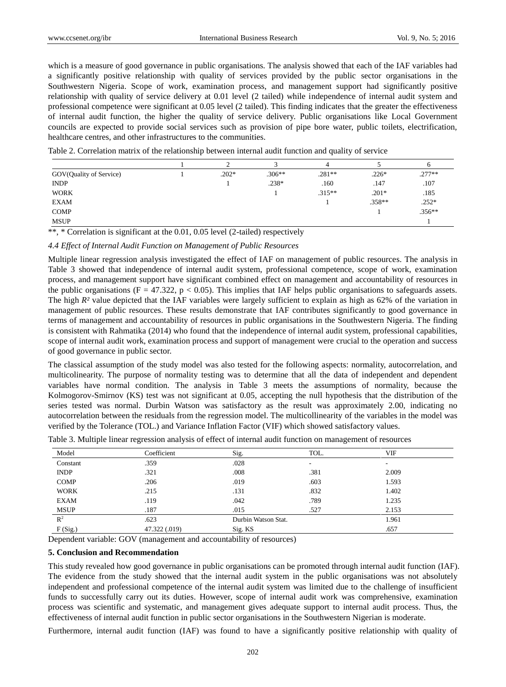which is a measure of good governance in public organisations. The analysis showed that each of the IAF variables had a significantly positive relationship with quality of services provided by the public sector organisations in the Southwestern Nigeria. Scope of work, examination process, and management support had significantly positive relationship with quality of service delivery at 0.01 level (2 tailed) while independence of internal audit system and professional competence were significant at 0.05 level (2 tailed). This finding indicates that the greater the effectiveness of internal audit function, the higher the quality of service delivery. Public organisations like Local Government councils are expected to provide social services such as provision of pipe bore water, public toilets, electrification, healthcare centres, and other infrastructures to the communities.

Table 2. Correlation matrix of the relationship between internal audit function and quality of service

| GOV(Quality of Service) | $.202*$ | $.306**$ | $.281**$ | $.226*$  | $.277**$ |
|-------------------------|---------|----------|----------|----------|----------|
| <b>INDP</b>             |         | $.238*$  | .160     | .147     | .107     |
| <b>WORK</b>             |         |          | $.315**$ | $.201*$  | .185     |
| <b>EXAM</b>             |         |          |          | $.358**$ | $.252*$  |
| <b>COMP</b>             |         |          |          |          | $.356**$ |
| <b>MSUP</b>             |         |          |          |          |          |

\*\*, \* Correlation is significant at the 0.01, 0.05 level (2-tailed) respectively

*4.4 Effect of Internal Audit Function on Management of Public Resources*

Multiple linear regression analysis investigated the effect of IAF on management of public resources. The analysis in Table 3 showed that independence of internal audit system, professional competence, scope of work, examination process, and management support have significant combined effect on management and accountability of resources in the public organisations (F = 47.322,  $p < 0.05$ ). This implies that IAF helps public organisations to safeguards assets. The high *R*<sup>2</sup> value depicted that the IAF variables were largely sufficient to explain as high as 62% of the variation in management of public resources. These results demonstrate that IAF contributes significantly to good governance in terms of management and accountability of resources in public organisations in the Southwestern Nigeria. The finding is consistent with Rahmatika (2014) who found that the independence of internal audit system, professional capabilities, scope of internal audit work, examination process and support of management were crucial to the operation and success of good governance in public sector.

The classical assumption of the study model was also tested for the following aspects: normality, autocorrelation, and multicolinearity. The purpose of normality testing was to determine that all the data of independent and dependent variables have normal condition. The analysis in Table 3 meets the assumptions of normality, because the Kolmogorov-Smirnov (KS) test was not significant at 0.05, accepting the null hypothesis that the distribution of the series tested was normal. Durbin Watson was satisfactory as the result was approximately 2.00, indicating no autocorrelation between the residuals from the regression model. The multicollinearity of the variables in the model was verified by the Tolerance (TOL.) and Variance Inflation Factor (VIF) which showed satisfactory values.

| Model       | Coefficient   | Sig.                | TOL. | VIF   |  |
|-------------|---------------|---------------------|------|-------|--|
| Constant    | .359          | .028                | ۰    | ۰     |  |
| <b>INDP</b> | .321          | .008                | .381 | 2.009 |  |
| <b>COMP</b> | .206          | .019                | .603 | 1.593 |  |
| <b>WORK</b> | .215          | .131                | .832 | 1.402 |  |
| <b>EXAM</b> | .119          | .042                | .789 | 1.235 |  |
| <b>MSUP</b> | .187          | .015                | .527 | 2.153 |  |
| $R^2$       | .623          | Durbin Watson Stat. |      | 1.961 |  |
| F(Sig.)     | 47.322 (.019) | Sig. KS             |      | .657  |  |

Table 3. Multiple linear regression analysis of effect of internal audit function on management of resources

Dependent variable: GOV (management and accountability of resources)

#### **5. Conclusion and Recommendation**

This study revealed how good governance in public organisations can be promoted through internal audit function (IAF). The evidence from the study showed that the internal audit system in the public organisations was not absolutely independent and professional competence of the internal audit system was limited due to the challenge of insufficient funds to successfully carry out its duties. However, scope of internal audit work was comprehensive, examination process was scientific and systematic, and management gives adequate support to internal audit process. Thus, the effectiveness of internal audit function in public sector organisations in the Southwestern Nigerian is moderate.

Furthermore, internal audit function (IAF) was found to have a significantly positive relationship with quality of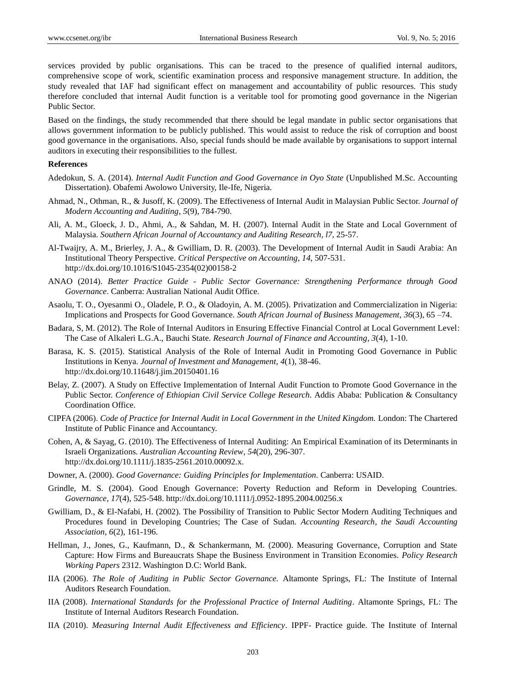services provided by public organisations. This can be traced to the presence of qualified internal auditors, comprehensive scope of work, scientific examination process and responsive management structure. In addition, the study revealed that IAF had significant effect on management and accountability of public resources. This study therefore concluded that internal Audit function is a veritable tool for promoting good governance in the Nigerian Public Sector.

Based on the findings, the study recommended that there should be legal mandate in public sector organisations that allows government information to be publicly published. This would assist to reduce the risk of corruption and boost good governance in the organisations. Also, special funds should be made available by organisations to support internal auditors in executing their responsibilities to the fullest.

#### **References**

- Adedokun, S. A. (2014). *Internal Audit Function and Good Governance in Oyo State* (Unpublished M.Sc. Accounting Dissertation). Obafemi Awolowo University, Ile-Ife, Nigeria.
- Ahmad, N., Othman, R., & Jusoff, K. (2009). The Effectiveness of Internal Audit in Malaysian Public Sector. *Journal of Modern Accounting and Auditing*, *5*(9), 784-790.
- Ali, A. M., Gloeck, J. D., Ahmi, A., & Sahdan, M. H. (2007). Internal Audit in the State and Local Government of Malaysia. *Southern African Journal of Accountancy and Auditing Research, l7*, 25-57.
- Al-Twaijry, A. M., Brierley, J. A., & Gwilliam, D. R. (2003). The Development of Internal Audit in Saudi Arabia: An Institutional Theory Perspective. *Critical Perspective on Accounting*, *14*, 507-531. http://dx.doi.org/10.1016/S1045-2354(02)00158-2
- ANAO (2014). *Better Practice Guide - Public Sector Governance: Strengthening Performance through Good Governance*. Canberra: Australian National Audit Office.
- Asaolu, T. O., Oyesanmi O., Oladele, P. O., & Oladoyin, A. M. (2005). Privatization and Commercialization in Nigeria: Implications and Prospects for Good Governance. *South African Journal of Business Management, 36*(3), 65 –74.
- Badara, S, M. (2012). The Role of Internal Auditors in Ensuring Effective Financial Control at Local Government Level: The Case of Alkaleri L.G.A., Bauchi State. *Research Journal of Finance and Accounting*, *3*(4), 1-10.
- Barasa, K. S. (2015). Statistical Analysis of the Role of Internal Audit in Promoting Good Governance in Public Institutions in Kenya. *Journal of Investment and Management*, *4*(1), 38-46. http://dx.doi.org/10.11648/j.jim.20150401.16
- Belay, Z. (2007). A Study on Effective Implementation of Internal Audit Function to Promote Good Governance in the Public Sector. *Conference of Ethiopian Civil Service College Research*. Addis Ababa: Publication & Consultancy Coordination Office.
- CIPFA (2006). *Code of Practice for Internal Audit in Local Government in the United Kingdom.* London: The Chartered Institute of Public Finance and Accountancy.
- Cohen, A, & Sayag, G. (2010). The Effectiveness of Internal Auditing: An Empirical Examination of its Determinants in Israeli Organizations. *Australian Accounting Review*, *54*(20), 296-307. http://dx.doi.org/10.1111/j.1835-2561.2010.00092.x.
- Downer, A. (2000). *Good Governance: Guiding Principles for Implementation*. Canberra: USAID.
- Grindle, M. S. (2004). Good Enough Governance: Poverty Reduction and Reform in Developing Countries. *Governance*, *17*(4), 525-548. http://dx.doi.org/10.1111/j.0952-1895.2004.00256.x
- Gwilliam, D., & El-Nafabi, H. (2002). The Possibility of Transition to Public Sector Modern Auditing Techniques and Procedures found in Developing Countries; The Case of Sudan. *Accounting Research*, *the Saudi Accounting Association*, *6*(2), 161-196.
- Hellman, J., Jones, G., Kaufmann, D., & Schankermann, M. (2000). Measuring Governance, Corruption and State Capture: How Firms and Bureaucrats Shape the Business Environment in Transition Economies. *Policy Research Working Papers* 2312. Washington D.C: World Bank.
- IIA (2006). *The Role of Auditing in Public Sector Governance.* Altamonte Springs, FL: The Institute of Internal Auditors Research Foundation.
- IIA (2008). *International Standards for the Professional Practice of Internal Auditing*. Altamonte Springs, FL: The Institute of Internal Auditors Research Foundation.
- IIA (2010). *Measuring Internal Audit Effectiveness and Efficiency*. IPPF- Practice guide. The Institute of Internal